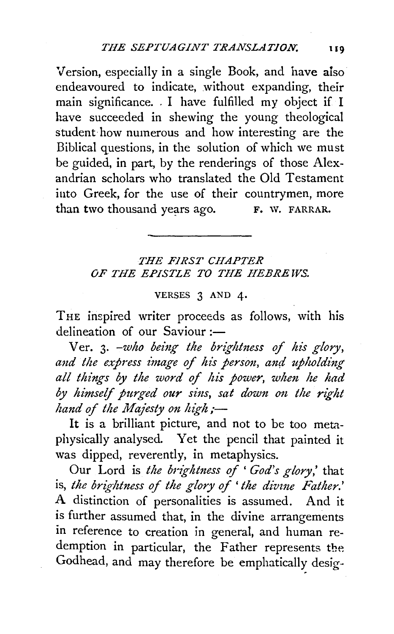Version, especially in a single Book, and have aiso endeavoured to indicate, without expanding, their main significance. . I have fulfilled my object if I have succeeded in shewing the young theological student· how numerous and how interesting are the Biblical questions, in the solution of which we must be guided, in part, by the renderings of those Alexandrian scholars who translated the Old Testament into Greek, for the use of their countrymen, more than two thousand years ago. F. W. FARRAR.

## *THE FIRST CHAPTER OF THE EPISTLE TO THE HEBREWS.*

## VERSES 3 AND 4•

THE inspired writer proceeds as follows, with his delineation of our Saviour :-

Ver. 3. -who being the brightness of his glory, and the express image of his person, and upholding *all things by the word of his power, whm he had*  by himself purged our sins, sat down on the right *hand of the Majesty on high;-*

It is a brilliant picture, and not to be too metaphysically analysed. Yet the pencil that painted it was dipped, reverently, in metaphysics.

Our Lord is *the brightness of* ' *God's glory,'* that is, *the brightness of the glory of' the divme Father.'*  A distinction of personalities is assumed. And it is further assumed that, in the divine arrangements in reference to creation in general, and human redemption in particular, the Father represents the Godhead, and may therefore be emphatically desig-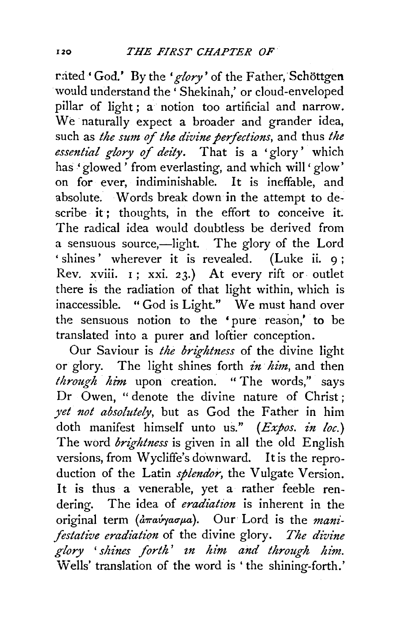rated 'God.' By the 'glory' of the Father, Schöttgen would understand the ' Shekinah,' or cloud-enveloped pillar of light ; a notion too artificial and narrow. We naturally expect a broader and grander idea, such as *the sum of the divine perfections*, and thus *the essential glory of dei'ty.* That is a 'glory' which has' glowed' from everlasting, and which will' glow' on for ever, indiminishable. It is ineffable, and absolute. Words break down in the attempt to describe it; thoughts, in the effort to conceive it. The radical idea would doubtless be derived from a sensuous source,—light. The glory of the Lord ' shines' wherever it is revealed. (Luke ii. 9: Rev. xviii. I; xxi. 23.) At every rift or outlet there is the radiation of that light within, which is inaccessible. " God is Light." We must hand over the sensuous notion to the ' pure reason,' to be translated into a purer and loftier conception.

Our Saviour is *the brightness* of the divine light or glory. The light shines forth *in him,* and then *through him* upon creation. "The words,'' says Dr Owen, " denote the divine nature of Christ; *yet 11ot absolutely,* but as God the Father in him doth manifest himself unto us." *(Expos. in loc.)* The word *brightness* is given in all the old English versions, from Wycliffe's downward. It is the reproduction of the Latin *splendor*, the Vulgate Version. It is thus a venerable, yet a rather feeble rendering. The idea of *eradiation* is inherent in the original term (amavyaoua). Our Lord is the *manifistative eradiation* of the divine glory. *The divine glory* ' *shines forth' zn him and through him.*  Wells' translation of the word is 'the shining-forth.'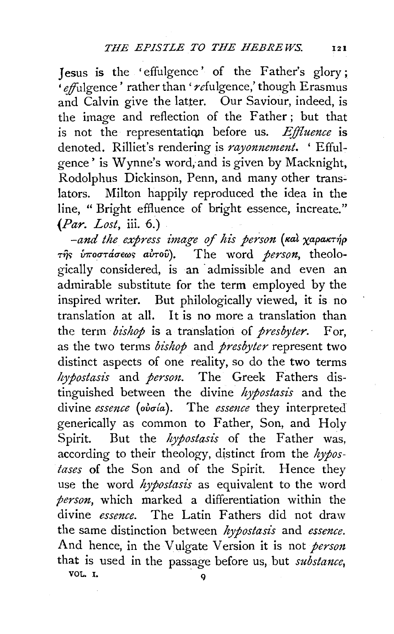Jesus is the 'effulgence' of the Father's glory;  $\cdot$  effulgence' rather than ' refulgence,' though Erasmus and Calvin give the latter. Our Saviour, indeed, is the image and reflection of the Father; but that is not the representation before us. *Effluence* is denoted. Rilliet's rendering is *rayonnement.* ' Effulgence' is Wynne's word; and is given by Macknight, Rodolphus Dickinson, Penn, and many other translators. Milton happily reproduced the idea in the line, " Bright effluence of bright essence, increate." *{Par. Lost,* iii. 6.)

*-and the express image* of *his person* ( *1€al xapawn]p Tij'> {nrotnaue(J)<; a·U-rov).* The word *person,* theologically considered, is an admissible and even an admirable substitute for the term employed by the inspired writer. But philologically viewed, it is no translation at all. It is no more a translation than the term *bishop* is a translation of *presbyter.* For, as the two terms *bishop* and *presbyter* represent two distinct aspects of one reality, so do the two terms *hypostasis* and *person.* The Greek Fathers distinguished between the divine *hypostasis* and the divine *essence* (ovola). The *essence* they interpreted generically as common to Father, Son, and Holy Spirit. But the *hypostasis* of the Father was, according to their theology, distinct from the *hypostases* of the Son and of the Spirit. Hence they use the word *hypostasis* as equivalent to the word *person,* which marked a differentiation within the divine *essence.* The Latin Fathers did not draw the same distinction between *hypostasis* and *essence.*  And hence, in the V ulgate Version it is not *person*  that is used in the passage before us, but *substance*, VOL. I.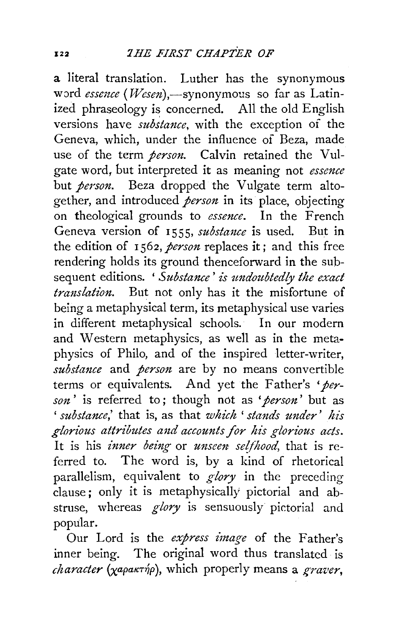a literal translation. Luther has the synonymous word *essence* (*Wesen*),-synonymous so far as Latinized phraseology is concerned. All the old English versions have *substance*, with the exception of the Geneva, which, under the influence of Beza, made use of the term *person*. Calvin retained the Vulgate word, but interpreted it as meaning not *essence*  but *person*. Beza dropped the Vulgate term altogether, and introduced *person* in its place, objecting on theological grounds to *essence.* In the French Geneva version of 1555, *substance* is used. But in the edition of I 562, *person* replaces it; and this free rendering holds its ground thenceforward in the subsequent editions. 'Substance' is undoubtedly the exact *translation.* But not only has it the misfortune of being a metaphysical term, its metaphysical use varies in different metaphysical schools. In our modern and Western metaphysics, as well as in the metaphysics of Philo, and of the inspired letter-writer, *substance* and *person* are by no means convertible terms or equivalents. And yet the Father's 'per*son'* is referred to; though not as *•person'* but as ' *substance*,' that is, as that *which* ' *stands under' his glorious attributes and accounts for his glorious acts.*  It is his *inner being* or *unseen se{fhood,* that is referred to. The word is, by a kind of rhetorical parallelism, equivalent to *glory* in the preceding clause; only it is metaphysically pictorial and abstruse, whereas *glory* is sensuously pictorial and popular.

Our Lord is the *express image* of the Father's inner being. The original word thus translated is *clzaracter* (xapaKT~p), which properly means a *graz•er,*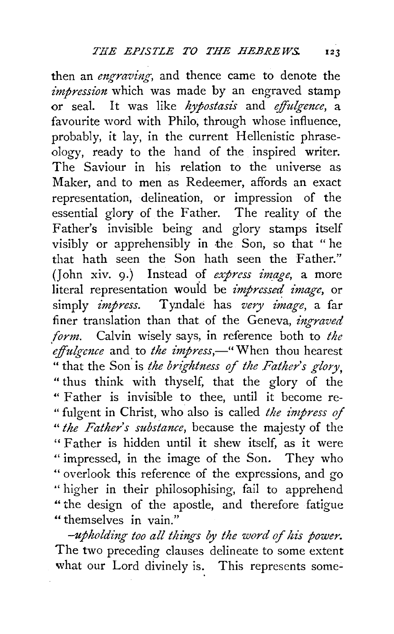then an *engraving*, and thence came to denote the *impression* which was made by an engraved stamp or seal. It was like *hypostasis* and *effulgmce,* a favourite word with Philo, through whose influence, probably, it lay, in the current Hellenistic phraseology, ready to the hand of the inspired writer. The Saviour in his relation to the universe as Maker, and to men as Redeemer, affords an exact representation, delineation, or impression of the essential glory of the Father. The reality of the Father's invisible being and glory stamps itself visibly or apprehensibly in the Son, so that " he that hath seen the Son hath seen the Father." (John xiv. 9·) Instead of *express image,* a more literal representation wouid be *impressed image,* or simply *impress*. Tyndale has *very image*, a far finer translation than that of the Geneva, *ingraved form.* Calvin wisely says, in reference both to *the effulgence* and to *the impress*,—" When thou hearest " that the Son. is *the brightness of the Father's glory,*  " thus think with thyself, that the glory of the " Father is invisible to thee, until it become re- " fulgent in Christ, who also is called *the impress of "the Father's substance,* because the majesty of the " Father is hidden until it shew itself, as it were " impressed, in the image of the Son. They who " overlook this reference of the expressions, and go '' higher in their philosophising, fail to apprehend " the design of the apostle, and therefore fatigue "themselves in vain."

*-upholding too all things by the word of his power.*  The two preceding clauses delineate to some extent what our Lord divinely is. This represents some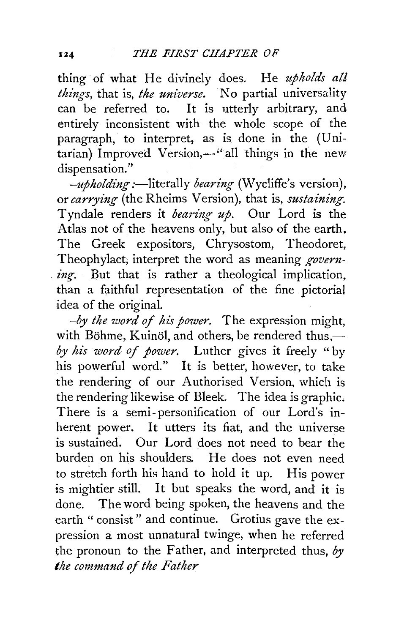thing of what He divinely does. He *upholds all things, that is, the universe.* No partial universality can be referred to. It is utterly arbitrary, and entirely inconsistent with the whole scope of the paragraph, to interpret, as is done in the (Unitarian) Improved Version,—"all things in the new dispensation."

*-upholding* :—literally *bearing* (Wycliffe's version), or *carrying* (the Rheims Version), that is, *sustaining*. Tyndale renders it *bearing up.* Our Lord is the Atlas not of the heavens only, but also of the earth. The Greek expositors, Chrysostom, Theodoret, Theophylact; interpret the word as meaning *governing*. But that is rather a theological implication, than a faithful representation of the fine pictorial idea of the original.

*-by the word of his power.* The expression might, with Böhme, Kuinöl, and others, be rendered thus. *by his word of power.* Luther gives it freely "by his powerful word." It is better, however, to take the rendering of our Authorised Version, which is the rendering likewise of Bleek. The idea is graphic. There is a semi-personification of our Lord's inherent power. It utters its fiat, and the universe is sustained. Our Lord does not need to bear the burden on his shoulders. He does not even need to stretch forth his hand to hold it up. His power is mightier still. It but speaks the word, and it is done. The word being spoken, the heavens and the earth "consist" and continue. Grotius gave the expression a most unnatural twinge, when he referred the pronoun to the Father, and interpreted thus, *by the command of the Father* 

124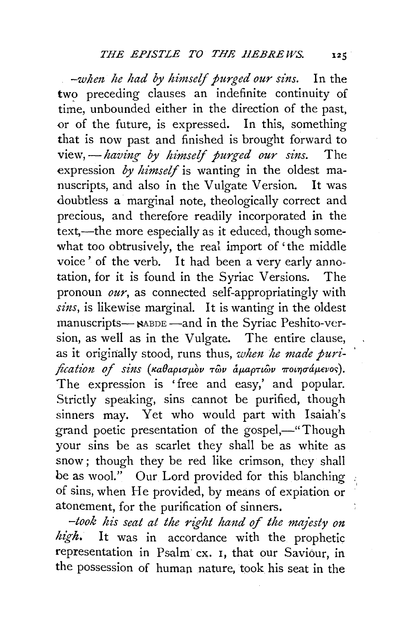-when he had by himself purged our sins. In the two preceding clauses an indefinite continuity of time, unbounded either in the direction of the past, or of the future, is expressed. In this, something that is now past and finished is brought forward to view, — having by himself purged our sins. The expression *by himself* is wanting in the oldest manuscripts, and also in the Vulgate Version. It was doubtless a marginal note, theologically correct and precious, and therefore readily incorporated in the text,—the more especially as it educed, though somewhat too obtrusively, the real import of 'the middle voice' of the verb. It had been a very early annotation, for it is found in the Syriac Versions. The pronoun *our,* as connected self-appropriatingly with *sins,* is likewise marginal. It is wanting in the oldest manuscripts- NABDE -and in the Syriac Peshito-version, as well as in the Vulgate. The entire clause, as it originally stood, runs thus, *when he made purification of sins (καθαρισμ*όν των αμαρτιών ποιησάμενος). The expression is 'free and easy,' and popular. Strictly speaking, sins cannot be purified, though sinners may. Yet who would part with Isaiah's grand poetic presentation of the gospel,—"Though your sins be as scarlet they shall be as white as snow ; though they be red like crimson, they shall be as wool." Our Lord provided for this blanching of sins, when He provided, by means of expiation or atonement, for the purification of sinners.

*-took his seat at the -right hand of the maj'esty on high.* It was in accordance with the prophetic representation in Psalm cx. 1, that our Saviour, in the possession of human nature, took his seat in the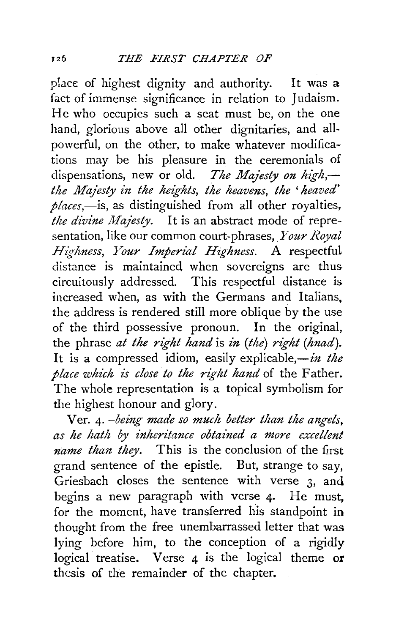piace of highest dignity and authority. It was a fact of immense significance in relation to Judaism. He who occupies such a seat must be, on the one hand, glorious above all other dignitaries, and allpowerful, on the other, to make whatever modifications may be his pleasure in the ceremonials of dispensations, new or old. *The Majesty on high,* the Majesty in the heights, the heavens, the 'heaved' *places,-is,* as distinguished from all other royalties, *the divine Majesty.* It is an abstract mode of representation, like our common court-phrases, *Your Royal Highness, Your Imperial Highness.* A respectful distance is maintained when sovereigns are thus circuitously addressed. This respectful distance is increased when, as with the Germans and Italians, the address is rendered still more oblique by the use of the third possessive pronoun. In the original, the phrase *at the right hand* is *in (the) right (hnad).*  It is a compressed idiom, easily explicable,-in the *place which is close to the right hand* of the Father. The whole representation is a topical symbolism for the highest honour and glory.

V er. 4· *-being made so much better than the angels, as he hath by inheri'ta1zce obtained a more excellent name than they.* This is the conclusion of the first grand sentence of the epistle. But, strange to say, Griesbach closes the sentence with verse 3, and begins a new paragraph with verse 4. He must. for the moment, have transferred his standpoint in thought from the free unembarrassed letter that was lying before him, *to* the conception of a rigidly logical treatise. Verse 4 is the logical theme or thesis of the remainder of the chapter.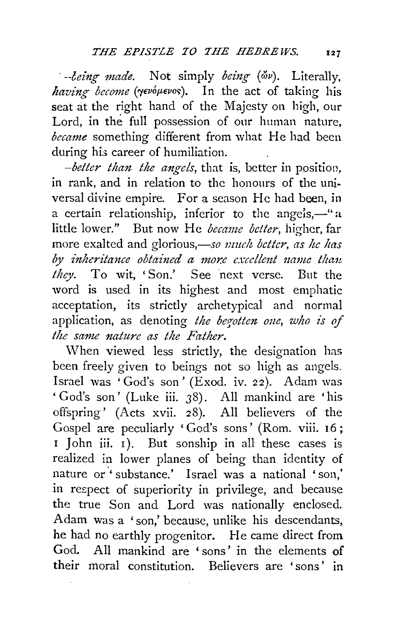*being made.* Not simply *being* ( $\omega$ v). Literally, having become ( $\gamma$ evoµevos). In the act of taking his seat at the right hand of the Majesty on high, our Lord, in the full possession of our human nature, *became* something different from what He had been during his career of humiliation.

*-better than the angels,* that is, better in position, in rank, and in relation to the honours of the universal divine empire. For a season He had been, in a certain relationship, inferior to the angels,—"a little lower." But now He *became better,* higher, far more exalted and glorious,—so *nuch better*, as he has by inheritance obtained a more excellent name than. *they.* To wit, 'Son.' See next verse. But the word is used in its highest and most emphatic acceptation, its strictly archetypical and normal application, as denoting *the begotten one*, who is of *the same nature as the Father.* 

When viewed less strictly, the designation has been freely given to beings not so high as angels. Israel was 'God's son' (Exod. iv. 22). Adam was ' God's son' (Luke iii. 38). All mankind are 'his offspring' (Acts xvii. 28). All believers of the Gospel are peculiarly 'God's sons' (Rom. viii. 16; I John iii. I). But sonship in all these cases is realized in lower planes of being than identity of nature or ' substance.' Israel was a national 'son,' in re£pect of superiority in privilege, and because the true Son and Lord was nationally enclosed. Adam was a ' son,' because, unlike his descendants, he had no earthly progenitor. He came direct from God. All mankind are 'sons' in the elements of their moral constitution. Believers are 'sons' in